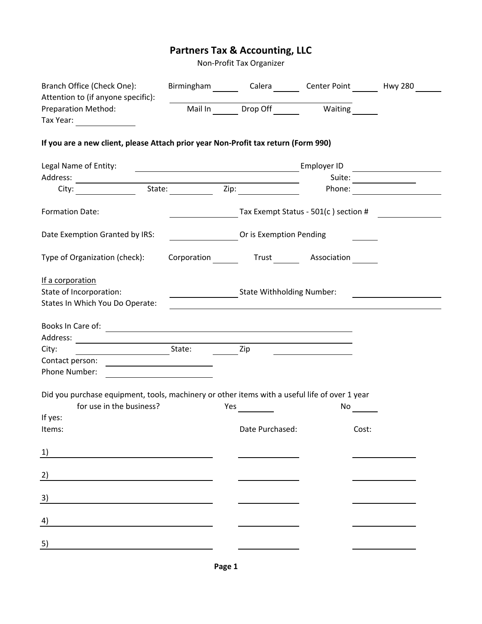## **Partners Tax & Accounting, LLC**

Non-Profit Tax Organizer

| Branch Office (Check One):<br>Attention to (if anyone specific):                                                            | Birmingham Calera Center Point Hwy 280                             |             |                                         |
|-----------------------------------------------------------------------------------------------------------------------------|--------------------------------------------------------------------|-------------|-----------------------------------------|
| <b>Preparation Method:</b><br>Tax Year: $\frac{1}{\sqrt{1-\frac{1}{2}}}\frac{1}{\sqrt{1-\frac{1}{2}}\sqrt{1-\frac{1}{2}}}}$ | Mail In Drop Off Waiting                                           |             |                                         |
| If you are a new client, please Attach prior year Non-Profit tax return (Form 990)                                          |                                                                    |             |                                         |
| Legal Name of Entity:                                                                                                       | <u> 1989 - Johann Barbara, martxa amerikan personal (h. 1989).</u> | Employer ID |                                         |
|                                                                                                                             |                                                                    |             | Suite:                                  |
| City: State: Zip:                                                                                                           |                                                                    | Phone:      | <u> 1989 - Johann Barbara, martxa a</u> |
| Formation Date:                                                                                                             |                                                                    |             | Tax Exempt Status - 501(c ) section #   |
| Date Exemption Granted by IRS:                                                                                              | Or is Exemption Pending                                            |             |                                         |
| Type of Organization (check):                                                                                               | Corporation Trust Association                                      |             |                                         |
| If a corporation                                                                                                            |                                                                    |             |                                         |
| State of Incorporation:                                                                                                     | ______________________State Withholding Number:                    |             |                                         |
| States In Which You Do Operate:                                                                                             |                                                                    |             |                                         |
| Books In Care of: <u>Carrier Communications</u>                                                                             |                                                                    |             |                                         |
| City:                                                                                                                       | Zip                                                                |             |                                         |
|                                                                                                                             |                                                                    |             |                                         |
| Phone Number:                                                                                                               |                                                                    |             |                                         |
| Did you purchase equipment, tools, machinery or other items with a useful life of over 1 year<br>for use in the business?   | Yes $\qquad \qquad$                                                | No          |                                         |
| If yes:                                                                                                                     |                                                                    |             |                                         |
| Items:                                                                                                                      | Date Purchased:                                                    |             | Cost:                                   |
| 1)                                                                                                                          |                                                                    |             |                                         |
| $\underline{2)}$                                                                                                            |                                                                    |             |                                         |
| 3)                                                                                                                          |                                                                    |             |                                         |
| 4)                                                                                                                          |                                                                    |             |                                         |
| 5)                                                                                                                          |                                                                    |             |                                         |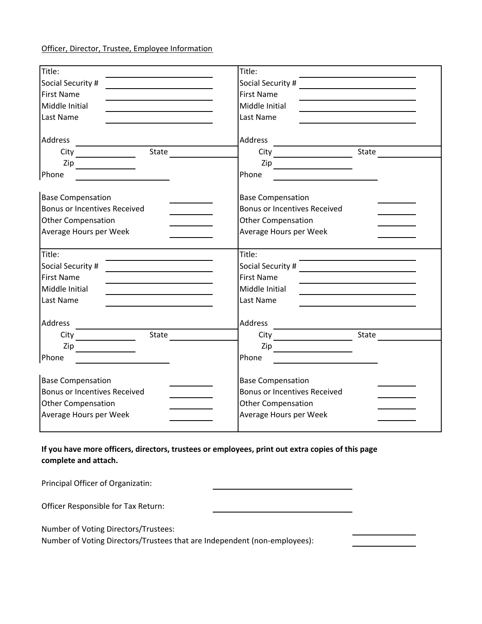## Officer, Director, Trustee, Employee Information

| Title:                                                                                                                           | Title:                                                                                                                                                                                                                         |
|----------------------------------------------------------------------------------------------------------------------------------|--------------------------------------------------------------------------------------------------------------------------------------------------------------------------------------------------------------------------------|
| Social Security #                                                                                                                | Social Security # \\esseq\\end{\sigma_{\sigma_{\sigma_{\sigma_{\sigma_{\sigma_{\sigma_{\sigma_{\sigma_{\sigma_{\sigma_{\sigma_{\sigma_{\sigma_{\sigma_{\sigma_{\sigma_{\sigma_{\sigma_{\sigma_{\sigma_{\sigma_{\sigma_{\sigma_ |
| First Name                                                                                                                       | <b>First Name</b>                                                                                                                                                                                                              |
| Middle Initial                                                                                                                   | Middle Initial                                                                                                                                                                                                                 |
| Last Name                                                                                                                        | Last Name                                                                                                                                                                                                                      |
|                                                                                                                                  |                                                                                                                                                                                                                                |
| Address                                                                                                                          | Address<br><u> Liste de la construcción de la construcción de la construcción de la construcción de la construcción de la c</u>                                                                                                |
| State $\qquad \qquad \qquad$                                                                                                     |                                                                                                                                                                                                                                |
| $\mathsf{Zip} \_\_$                                                                                                              |                                                                                                                                                                                                                                |
| Phone<br><u> The Communication of the Communication of the Communication of the Communication of the Communication of the Co</u> | Phone                                                                                                                                                                                                                          |
| <b>Base Compensation</b>                                                                                                         | <b>Base Compensation</b>                                                                                                                                                                                                       |
| <b>Bonus or Incentives Received</b>                                                                                              | <b>Bonus or Incentives Received</b>                                                                                                                                                                                            |
| <b>Other Compensation</b>                                                                                                        | <b>Other Compensation</b>                                                                                                                                                                                                      |
| Average Hours per Week                                                                                                           | Average Hours per Week                                                                                                                                                                                                         |
| Title:                                                                                                                           | Title:                                                                                                                                                                                                                         |
| Social Security #                                                                                                                |                                                                                                                                                                                                                                |
| <b>First Name</b>                                                                                                                | <b>First Name</b>                                                                                                                                                                                                              |
| Middle Initial                                                                                                                   | Middle Initial                                                                                                                                                                                                                 |
| Last Name                                                                                                                        | Last Name                                                                                                                                                                                                                      |
| Address                                                                                                                          | Address                                                                                                                                                                                                                        |
|                                                                                                                                  | City State                                                                                                                                                                                                                     |
| $\mathsf{Zip} \longrightarrow$                                                                                                   | $\mathsf{Zip}$                                                                                                                                                                                                                 |
| Phone<br><u> 1980 - Johann Barbara, martin a</u>                                                                                 | Phone                                                                                                                                                                                                                          |
| <b>Base Compensation</b>                                                                                                         | <b>Base Compensation</b>                                                                                                                                                                                                       |
| <b>Bonus or Incentives Received</b>                                                                                              | <b>Bonus or Incentives Received</b>                                                                                                                                                                                            |
| <b>Other Compensation</b>                                                                                                        | <b>Other Compensation</b>                                                                                                                                                                                                      |
| Average Hours per Week                                                                                                           | Average Hours per Week                                                                                                                                                                                                         |
|                                                                                                                                  |                                                                                                                                                                                                                                |

## **If you have more officers, directors, trustees or employees, print out extra copies of this page complete and attach.**

| Principal Officer of Organizatin:   |  |
|-------------------------------------|--|
| Officer Responsible for Tax Return: |  |

Number of Voting Directors/Trustees:

Number of Voting Directors/Trustees that are Independent (non-employees):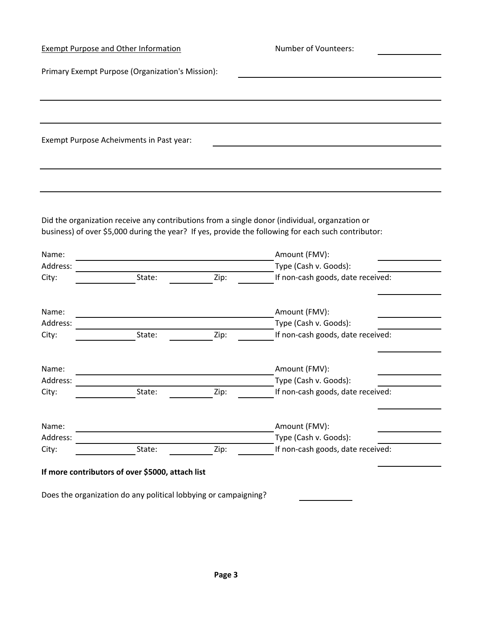|                   | Exempt Purpose and Other Information                                                                                   |      | Number of Vounteers:                                                                                |  |
|-------------------|------------------------------------------------------------------------------------------------------------------------|------|-----------------------------------------------------------------------------------------------------|--|
|                   | Primary Exempt Purpose (Organization's Mission):                                                                       |      |                                                                                                     |  |
|                   |                                                                                                                        |      |                                                                                                     |  |
|                   |                                                                                                                        |      |                                                                                                     |  |
|                   | Exempt Purpose Acheivments in Past year:                                                                               |      |                                                                                                     |  |
|                   |                                                                                                                        |      |                                                                                                     |  |
|                   |                                                                                                                        |      |                                                                                                     |  |
|                   |                                                                                                                        |      |                                                                                                     |  |
|                   |                                                                                                                        |      | Did the organization receive any contributions from a single donor (individual, organzation or      |  |
|                   |                                                                                                                        |      | business) of over \$5,000 during the year? If yes, provide the following for each such contributor: |  |
| Name:             | <u> 1989 - Johann Stoff, deutscher Stoffen und der Stoffen und der Stoffen und der Stoffen und der Stoffen und der</u> |      | Amount (FMV):                                                                                       |  |
| Address:          |                                                                                                                        |      | Type (Cash v. Goods):                                                                               |  |
| City:             | State:                                                                                                                 | Zip: | If non-cash goods, date received:                                                                   |  |
| Name:             |                                                                                                                        |      | Amount (FMV):                                                                                       |  |
| Address:          |                                                                                                                        |      | Type (Cash v. Goods):                                                                               |  |
| City:             | State:                                                                                                                 | Zip: | If non-cash goods, date received:                                                                   |  |
| Name:             |                                                                                                                        |      | Amount (FMV):                                                                                       |  |
| Address:          |                                                                                                                        |      | Type (Cash v. Goods):                                                                               |  |
| City:             | State:                                                                                                                 | Zip: | If non-cash goods, date received:                                                                   |  |
|                   |                                                                                                                        |      |                                                                                                     |  |
| Name:<br>Address: |                                                                                                                        |      | Amount (FMV):<br>Type (Cash v. Goods):                                                              |  |
| City:             | State:                                                                                                                 | Zip: | If non-cash goods, date received:                                                                   |  |
|                   |                                                                                                                        |      |                                                                                                     |  |
|                   | If more contributors of over \$5000, attach list                                                                       |      |                                                                                                     |  |
|                   | Does the organization do any political lobbying or campaigning?                                                        |      |                                                                                                     |  |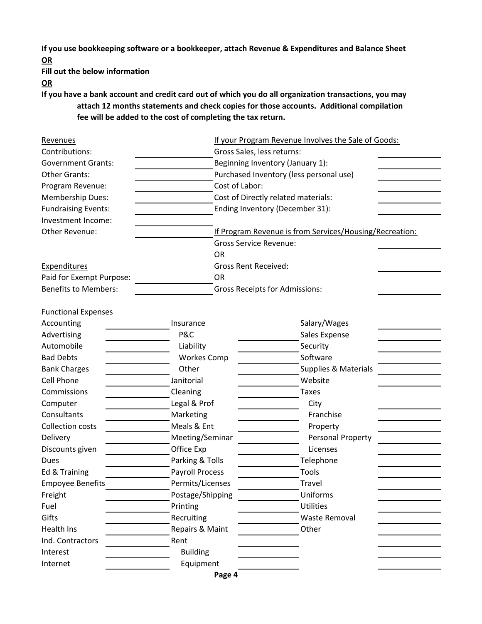**If you use bookkeeping software or a bookkeeper, attach Revenue & Expenditures and Balance Sheet OR**

**Fill out the below information**

**OR**

**If you have a bank account and credit card out of which you do all organization transactions, you may attach 12 months statements and check copies for those accounts. Additional compilation fee will be added to the cost of completing the tax return.**

| Revenues                    |                        |                                         | If your Program Revenue Involves the Sale of Goods:     |  |  |
|-----------------------------|------------------------|-----------------------------------------|---------------------------------------------------------|--|--|
| Contributions:              |                        | Gross Sales, less returns:              |                                                         |  |  |
| <b>Government Grants:</b>   |                        | Beginning Inventory (January 1):        |                                                         |  |  |
| <b>Other Grants:</b>        |                        | Purchased Inventory (less personal use) |                                                         |  |  |
| Program Revenue:            |                        | Cost of Labor:                          |                                                         |  |  |
| Membership Dues:            |                        |                                         | Cost of Directly related materials:                     |  |  |
| <b>Fundraising Events:</b>  |                        | Ending Inventory (December 31):         |                                                         |  |  |
| Investment Income:          |                        |                                         |                                                         |  |  |
| Other Revenue:              |                        |                                         | If Program Revenue is from Services/Housing/Recreation: |  |  |
|                             |                        |                                         | <b>Gross Service Revenue:</b>                           |  |  |
|                             |                        | <b>OR</b>                               |                                                         |  |  |
| <b>Expenditures</b>         |                        | <b>Gross Rent Received:</b>             |                                                         |  |  |
| Paid for Exempt Purpose:    |                        | <b>OR</b>                               |                                                         |  |  |
| <b>Benefits to Members:</b> |                        | <b>Gross Receipts for Admissions:</b>   |                                                         |  |  |
|                             |                        |                                         |                                                         |  |  |
| <b>Functional Expenses</b>  |                        |                                         |                                                         |  |  |
| Accounting                  | Insurance              |                                         | Salary/Wages                                            |  |  |
| Advertising                 | P&C                    |                                         | Sales Expense                                           |  |  |
| Automobile                  | Liability              |                                         | Security                                                |  |  |
| <b>Bad Debts</b>            | <b>Workes Comp</b>     |                                         | Software                                                |  |  |
| <b>Bank Charges</b>         | Other                  |                                         | <b>Supplies &amp; Materials</b>                         |  |  |
| <b>Cell Phone</b>           | Janitorial             |                                         | Website                                                 |  |  |
| Commissions                 | Cleaning               |                                         | <b>Taxes</b>                                            |  |  |
| Computer                    | Legal & Prof           |                                         | City                                                    |  |  |
| Consultants                 | Marketing              |                                         | Franchise                                               |  |  |
| Collection costs            | Meals & Ent            |                                         | Property                                                |  |  |
| Delivery                    | Meeting/Seminar        |                                         | Personal Property                                       |  |  |
| Discounts given             | Office Exp             |                                         | Licenses                                                |  |  |
| <b>Dues</b>                 | Parking & Tolls        |                                         | Telephone                                               |  |  |
| Ed & Training               | <b>Payroll Process</b> |                                         | Tools                                                   |  |  |
| <b>Empoyee Benefits</b>     | Permits/Licenses       |                                         | Travel                                                  |  |  |
| Freight                     | Postage/Shipping       |                                         | Uniforms                                                |  |  |
| Fuel                        | Printing               |                                         | <b>Utilities</b>                                        |  |  |
| Gifts                       | Recruiting             |                                         | Waste Removal                                           |  |  |
| Health Ins                  | Repairs & Maint        |                                         | Other                                                   |  |  |
| Ind. Contractors            | Rent                   |                                         |                                                         |  |  |
| Interest                    | <b>Building</b>        |                                         |                                                         |  |  |
| Internet                    | Equipment              |                                         |                                                         |  |  |
|                             |                        | Page 4                                  |                                                         |  |  |